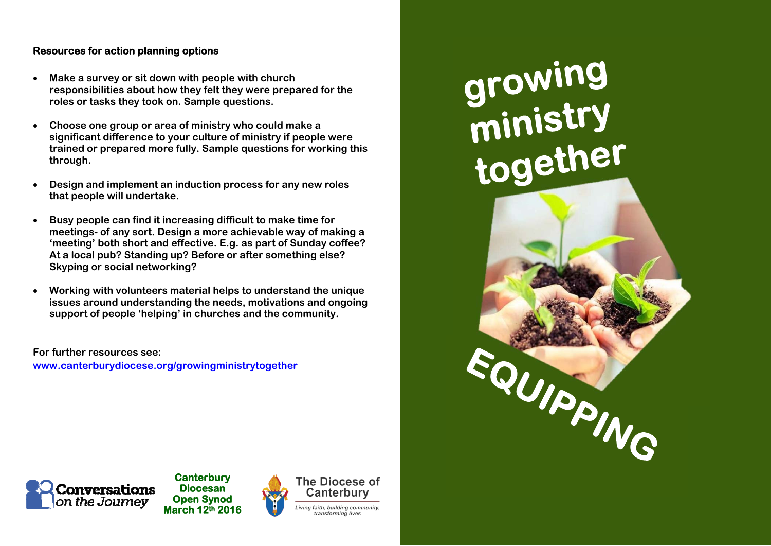#### **Resources for action planning options**

- $\bullet$  **Make a survey or sit down with people with church responsibilities about how they felt they were prepared for the roles or tasks they took on. Sample questions.**
- $\bullet$  **Choose one group or area of ministry who could make a significant difference to your culture of ministry if people were trained or prepared more fully. Sample questions for working this through.**
- $\bullet$  **Design and implement an induction process for any new roles that people will undertake.**
- 0 **Busy people can find it increasing difficult to make time for meetings- of any sort. Design a more achievable way of making a 'meeting' both short and effective. E.g. as part of Sunday coffee? At a local pub? Standing up? Before or after something else? Skyping or social networking?**
- e **Working with volunteers material helps to understand the unique issues around understanding the needs, motivations and ongoing support of people 'helping' in churches and the community.**

**For further resources see: www.canterburydiocese.org/growingministrytogether** growing<br>ministry<br>together EQUIPPING



**Canterbury Diocesan Open Synod March 12th 2016** 



Canterbury iving faith, building commu transforming live